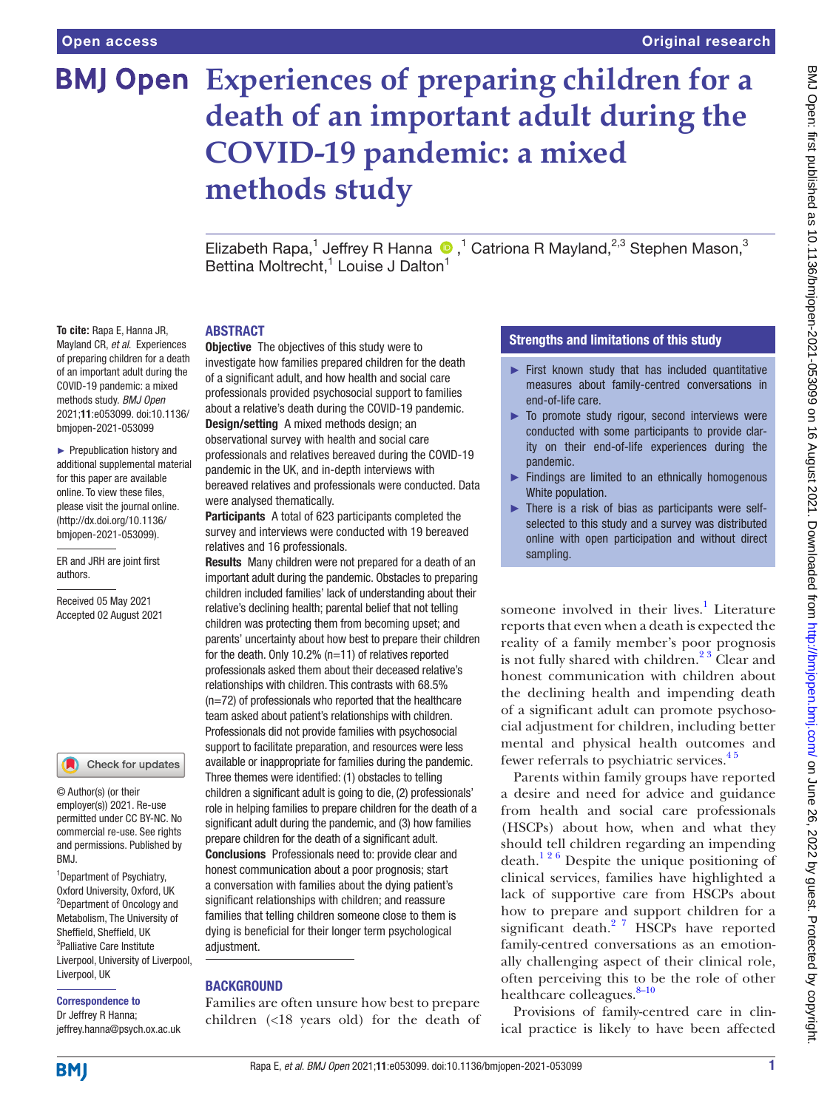# **Experiences of preparing children for a death of an important adult during the COVID-19 pandemic: a mixed methods study**

ElizabethRapa,<sup>1</sup> Jeffrey R Hanna <sup>®</sup>,<sup>1</sup> Catriona R Mayland,<sup>2,3</sup> Stephen Mason,<sup>3</sup> Bettina Moltrecht,<sup>1</sup> Louise J Dalton<sup>1</sup>

#### ABSTRACT

**To cite:** Rapa E, Hanna JR, Mayland CR, *et al*. Experiences of preparing children for a death of an important adult during the COVID-19 pandemic: a mixed methods study. *BMJ Open* 2021;11:e053099. doi:10.1136/ bmjopen-2021-053099

► Prepublication history and additional supplemental material for this paper are available online. To view these files, please visit the journal online. (http://dx.doi.org/10.1136/ bmjopen-2021-053099).

ER and JRH are joint first authors.

Received 05 May 2021 Accepted 02 August 2021

#### Check for updates

© Author(s) (or their employer(s)) 2021. Re-use permitted under CC BY-NC. No commercial re-use. See rights and permissions. Published by BMJ.

1 Department of Psychiatry, Oxford University, Oxford, UK 2 Department of Oncology and Metabolism, The University of Sheffield, Sheffield, UK <sup>3</sup>Palliative Care Institute Liverpool, University of Liverpool, Liverpool, UK

Correspondence to

Dr Jeffrey R Hanna; jeffrey.hanna@psych.ox.ac.uk

**Objective** The objectives of this study were to investigate how families prepared children for the death of a significant adult, and how health and social care professionals provided psychosocial support to families about a relative's death during the COVID-19 pandemic. Design/setting A mixed methods design; an observational survey with health and social care professionals and relatives bereaved during the COVID-19 pandemic in the UK, and in-depth interviews with bereaved relatives and professionals were conducted. Data were analysed thematically.

Participants A total of 623 participants completed the survey and interviews were conducted with 19 bereaved relatives and 16 professionals.

Results Many children were not prepared for a death of an important adult during the pandemic. Obstacles to preparing children included families' lack of understanding about their relative's declining health; parental belief that not telling children was protecting them from becoming upset; and parents' uncertainty about how best to prepare their children for the death. Only 10.2% (n=11) of relatives reported professionals asked them about their deceased relative's relationships with children. This contrasts with 68.5% (n=72) of professionals who reported that the healthcare team asked about patient's relationships with children. Professionals did not provide families with psychosocial support to facilitate preparation, and resources were less available or inappropriate for families during the pandemic. Three themes were identified: (1) obstacles to telling children a significant adult is going to die, (2) professionals' role in helping families to prepare children for the death of a significant adult during the pandemic, and (3) how families prepare children for the death of a significant adult. Conclusions Professionals need to: provide clear and honest communication about a poor prognosis; start a conversation with families about the dying patient's significant relationships with children; and reassure families that telling children someone close to them is dying is beneficial for their longer term psychological adiustment.

# BACKGROUND

Families are often unsure how best to prepare children (<18 years old) for the death of

# Strengths and limitations of this study

- ► First known study that has included quantitative measures about family-centred conversations in end-of-life care.
- ► To promote study rigour, second interviews were conducted with some participants to provide clarity on their end-of-life experiences during the pandemic.
- ► Findings are limited to an ethnically homogenous White population.
- ► There is a risk of bias as participants were selfselected to this study and a survey was distributed online with open participation and without direct sampling.

someone involved in their lives.<sup>[1](#page-9-0)</sup> Literature reports that even when a death is expected the reality of a family member's poor prognosis is not fully shared with children. $2<sup>3</sup>$  Clear and honest communication with children about the declining health and impending death of a significant adult can promote psychosocial adjustment for children, including better mental and physical health outcomes and fewer referrals to psychiatric services.<sup>45</sup>

Parents within family groups have reported a desire and need for advice and guidance from health and social care professionals (HSCPs) about how, when and what they should tell children regarding an impending death.<sup>126</sup> Despite the unique positioning of clinical services, families have highlighted a lack of supportive care from HSCPs about how to prepare and support children for a significant death.<sup>2</sup> <sup>7</sup> HSCPs have reported family-centred conversations as an emotionally challenging aspect of their clinical role, often perceiving this to be the role of other healthcare colleagues.<sup>8-10</sup>

Provisions of family-centred care in clinical practice is likely to have been affected

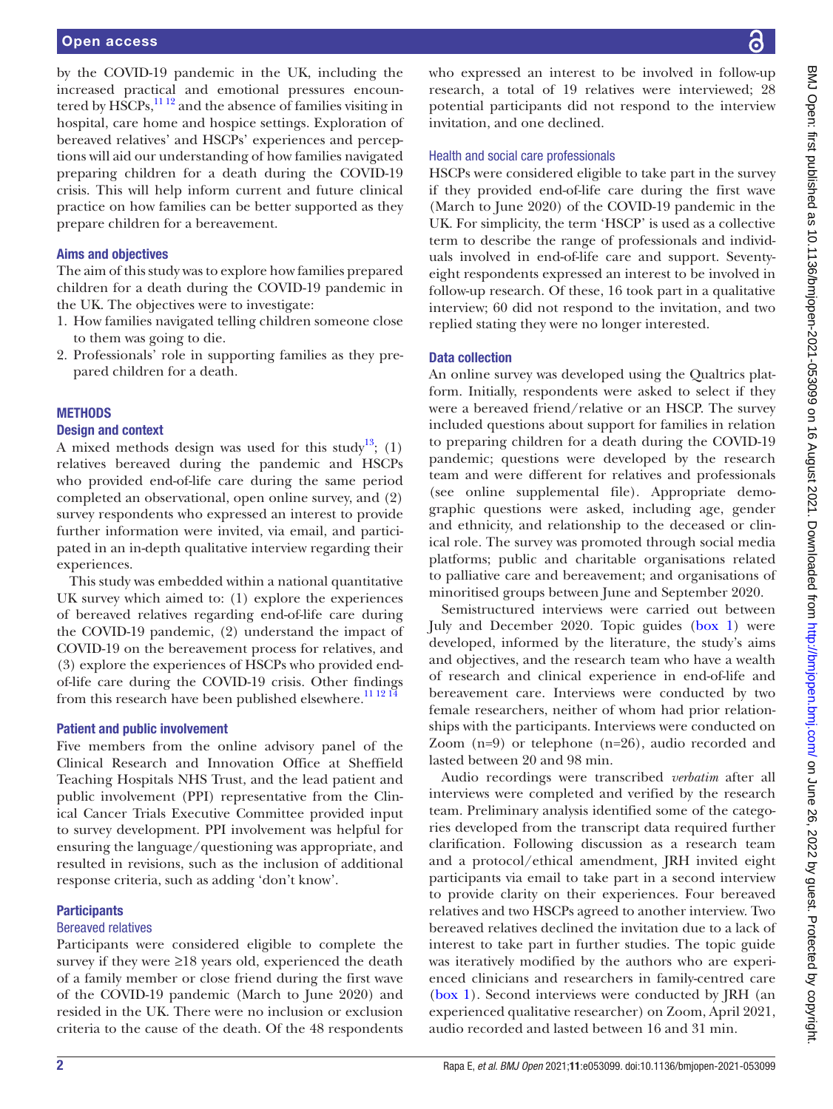by the COVID-19 pandemic in the UK, including the increased practical and emotional pressures encountered by  $\widehat{HSCPs}$ ,  $\frac{1112}{2}$  and the absence of families visiting in hospital, care home and hospice settings. Exploration of bereaved relatives' and HSCPs' experiences and perceptions will aid our understanding of how families navigated preparing children for a death during the COVID-19 crisis. This will help inform current and future clinical practice on how families can be better supported as they prepare children for a bereavement.

## Aims and objectives

The aim of this study was to explore how families prepared children for a death during the COVID-19 pandemic in the UK. The objectives were to investigate:

- 1. How families navigated telling children someone close to them was going to die.
- 2. Professionals' role in supporting families as they prepared children for a death.

### **METHODS**

#### Design and context

A mixed methods design was used for this study<sup>13</sup>; (1) relatives bereaved during the pandemic and HSCPs who provided end-of-life care during the same period completed an observational, open online survey, and (2) survey respondents who expressed an interest to provide further information were invited, via email, and participated in an in-depth qualitative interview regarding their experiences.

This study was embedded within a national quantitative UK survey which aimed to: (1) explore the experiences of bereaved relatives regarding end-of-life care during the COVID-19 pandemic, (2) understand the impact of COVID-19 on the bereavement process for relatives, and (3) explore the experiences of HSCPs who provided endof-life care during the COVID-19 crisis. Other findings from this research have been published elsewhere.<sup>11 12 14</sup>

#### Patient and public involvement

Five members from the online advisory panel of the Clinical Research and Innovation Office at Sheffield Teaching Hospitals NHS Trust, and the lead patient and public involvement (PPI) representative from the Clinical Cancer Trials Executive Committee provided input to survey development. PPI involvement was helpful for ensuring the language/questioning was appropriate, and resulted in revisions, such as the inclusion of additional response criteria, such as adding 'don't know'.

#### **Participants**

#### Bereaved relatives

Participants were considered eligible to complete the survey if they were  $\geq 18$  years old, experienced the death of a family member or close friend during the first wave of the COVID-19 pandemic (March to June 2020) and resided in the UK. There were no inclusion or exclusion criteria to the cause of the death. Of the 48 respondents

who expressed an interest to be involved in follow-up research, a total of 19 relatives were interviewed; 28 potential participants did not respond to the interview invitation, and one declined.

#### Health and social care professionals

HSCPs were considered eligible to take part in the survey if they provided end-of-life care during the first wave (March to June 2020) of the COVID-19 pandemic in the UK. For simplicity, the term 'HSCP' is used as a collective term to describe the range of professionals and individuals involved in end-of-life care and support. Seventyeight respondents expressed an interest to be involved in follow-up research. Of these, 16 took part in a qualitative interview; 60 did not respond to the invitation, and two replied stating they were no longer interested.

#### Data collection

An online survey was developed using the Qualtrics platform. Initially, respondents were asked to select if they were a bereaved friend/relative or an HSCP. The survey included questions about support for families in relation to preparing children for a death during the COVID-19 pandemic; questions were developed by the research team and were different for relatives and professionals (see [online supplemental file\)](https://dx.doi.org/10.1136/bmjopen-2021-053099). Appropriate demographic questions were asked, including age, gender and ethnicity, and relationship to the deceased or clinical role. The survey was promoted through social media platforms; public and charitable organisations related to palliative care and bereavement; and organisations of minoritised groups between June and September 2020.

Semistructured interviews were carried out between July and December 2020. Topic guides ([box](#page-2-0) 1) were developed, informed by the literature, the study's aims and objectives, and the research team who have a wealth of research and clinical experience in end-of-life and bereavement care. Interviews were conducted by two female researchers, neither of whom had prior relationships with the participants. Interviews were conducted on Zoom (n=9) or telephone (n=26), audio recorded and lasted between 20 and 98 min.

Audio recordings were transcribed *verbatim* after all interviews were completed and verified by the research team. Preliminary analysis identified some of the categories developed from the transcript data required further clarification. Following discussion as a research team and a protocol/ethical amendment, JRH invited eight participants via email to take part in a second interview to provide clarity on their experiences. Four bereaved relatives and two HSCPs agreed to another interview. Two bereaved relatives declined the invitation due to a lack of interest to take part in further studies. The topic guide was iteratively modified by the authors who are experienced clinicians and researchers in family-centred care [\(box](#page-2-0) 1). Second interviews were conducted by JRH (an experienced qualitative researcher) on Zoom, April 2021, audio recorded and lasted between 16 and 31 min.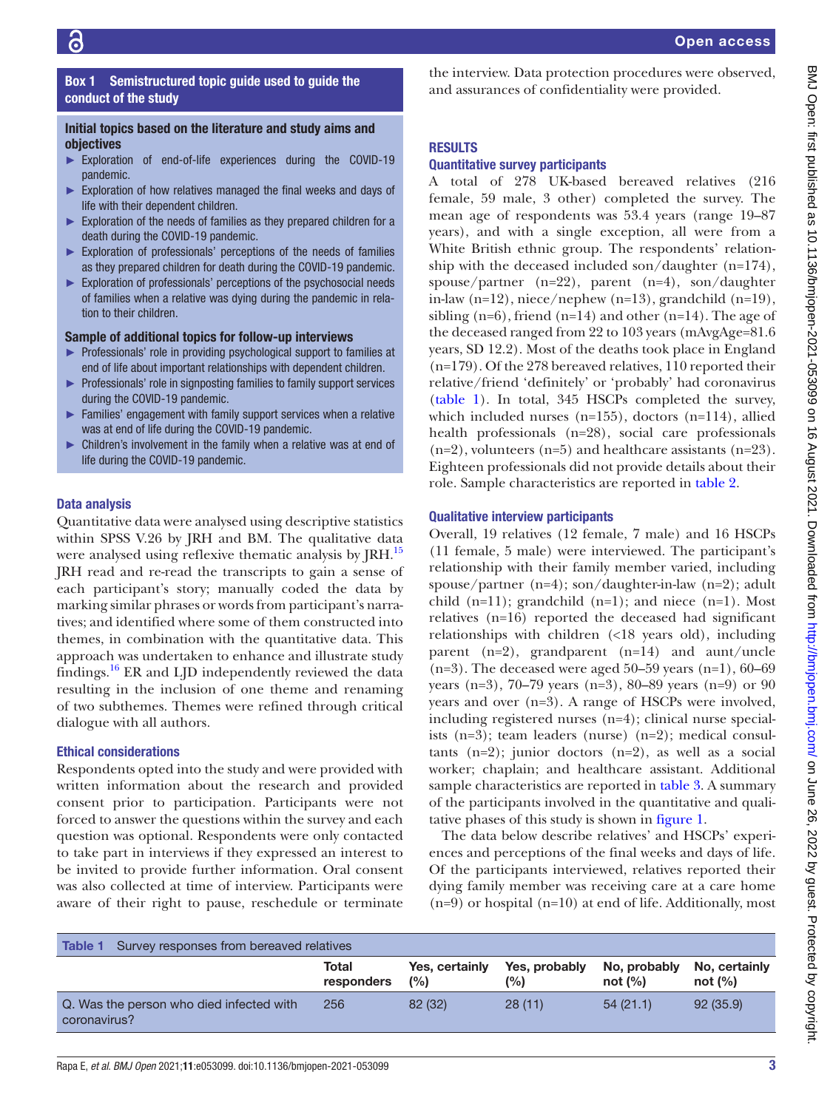# <span id="page-2-0"></span>RESULTS conduct of the study Initial topics based on the literature and study aims and objectives ► Exploration of end-of-life experiences during the COVID-19 pandemic. ► Exploration of how relatives managed the final weeks and days of life with their dependent children.

► Exploration of the needs of families as they prepared children for a death during the COVID-19 pandemic.

Box 1 Semistructured topic guide used to guide the

- ► Exploration of professionals' perceptions of the needs of families as they prepared children for death during the COVID-19 pandemic.
- ► Exploration of professionals' perceptions of the psychosocial needs of families when a relative was dying during the pandemic in relation to their children.

# Sample of additional topics for follow-up interviews

- ► Professionals' role in providing psychological support to families at end of life about important relationships with dependent children.
- ► Professionals' role in signposting families to family support services during the COVID-19 pandemic.
- ► Families' engagement with family support services when a relative was at end of life during the COVID-19 pandemic.
- ► Children's involvement in the family when a relative was at end of life during the COVID-19 pandemic.

#### Data analysis

Quantitative data were analysed using descriptive statistics within SPSS V.26 by JRH and BM. The qualitative data were analysed using reflexive thematic analysis by JRH.<sup>15</sup> JRH read and re-read the transcripts to gain a sense of each participant's story; manually coded the data by marking similar phrases or words from participant's narratives; and identified where some of them constructed into themes, in combination with the quantitative data. This approach was undertaken to enhance and illustrate study findings.<sup>[16](#page-9-7)</sup> ER and LJD independently reviewed the data resulting in the inclusion of one theme and renaming of two subthemes. Themes were refined through critical dialogue with all authors.

#### Ethical considerations

Respondents opted into the study and were provided with written information about the research and provided consent prior to participation. Participants were not forced to answer the questions within the survey and each question was optional. Respondents were only contacted to take part in interviews if they expressed an interest to be invited to provide further information. Oral consent was also collected at time of interview. Participants were aware of their right to pause, reschedule or terminate

the interview. Data protection procedures were observed, and assurances of confidentiality were provided.

#### Quantitative survey participants

A total of 278 UK-based bereaved relatives (216 female, 59 male, 3 other) completed the survey. The mean age of respondents was 53.4 years (range 19–87 years), and with a single exception, all were from a White British ethnic group. The respondents' relationship with the deceased included son/daughter (n=174), spouse/partner (n=22), parent (n=4), son/daughter in-law (n=12), niece/nephew (n=13), grandchild (n=19), sibling  $(n=6)$ , friend  $(n=14)$  and other  $(n=14)$ . The age of the deceased ranged from 22 to 103 years (mAvgAge=81.6 years, SD 12.2). Most of the deaths took place in England (n=179). Of the 278 bereaved relatives, 110 reported their relative/friend 'definitely' or 'probably' had coronavirus [\(table](#page-2-1) 1). In total, 345 HSCPs completed the survey, which included nurses (n=155), doctors (n=114), allied health professionals (n=28), social care professionals  $(n=2)$ , volunteers  $(n=5)$  and healthcare assistants  $(n=23)$ . Eighteen professionals did not provide details about their role. Sample characteristics are reported in [table](#page-3-0) 2.

#### Qualitative interview participants

Overall, 19 relatives (12 female, 7 male) and 16 HSCPs (11 female, 5 male) were interviewed. The participant's relationship with their family member varied, including spouse/partner  $(n=4)$ ; son/daughter-in-law  $(n=2)$ ; adult child  $(n=11)$ ; grandchild  $(n=1)$ ; and niece  $(n=1)$ . Most relatives (n=16) reported the deceased had significant relationships with children (<18 years old), including parent (n=2), grandparent (n=14) and aunt/uncle  $(n=3)$ . The deceased were aged 50–59 years  $(n=1)$ , 60–69 years (n=3), 70–79 years (n=3), 80–89 years (n=9) or 90 years and over (n=3). A range of HSCPs were involved, including registered nurses (n=4); clinical nurse specialists (n=3); team leaders (nurse) (n=2); medical consultants  $(n=2)$ ; junior doctors  $(n=2)$ , as well as a social worker; chaplain; and healthcare assistant. Additional sample characteristics are reported in [table](#page-4-0) 3. A summary of the participants involved in the quantitative and qualitative phases of this study is shown in [figure](#page-5-0) 1.

The data below describe relatives' and HSCPs' experiences and perceptions of the final weeks and days of life. Of the participants interviewed, relatives reported their dying family member was receiving care at a care home (n=9) or hospital (n=10) at end of life. Additionally, most

<span id="page-2-1"></span>

| Survey responses from bereaved relatives<br>Table 1      |                     |                       |                      |                           |                             |
|----------------------------------------------------------|---------------------|-----------------------|----------------------|---------------------------|-----------------------------|
|                                                          | Total<br>responders | Yes, certainly<br>(%) | Yes, probably<br>(%) | No, probably<br>not $(%)$ | No, certainly<br>not $(\%)$ |
| Q. Was the person who died infected with<br>coronavirus? | 256                 | 82 (32)               | 28(11)               | 54(21.1)                  | 92(35.9)                    |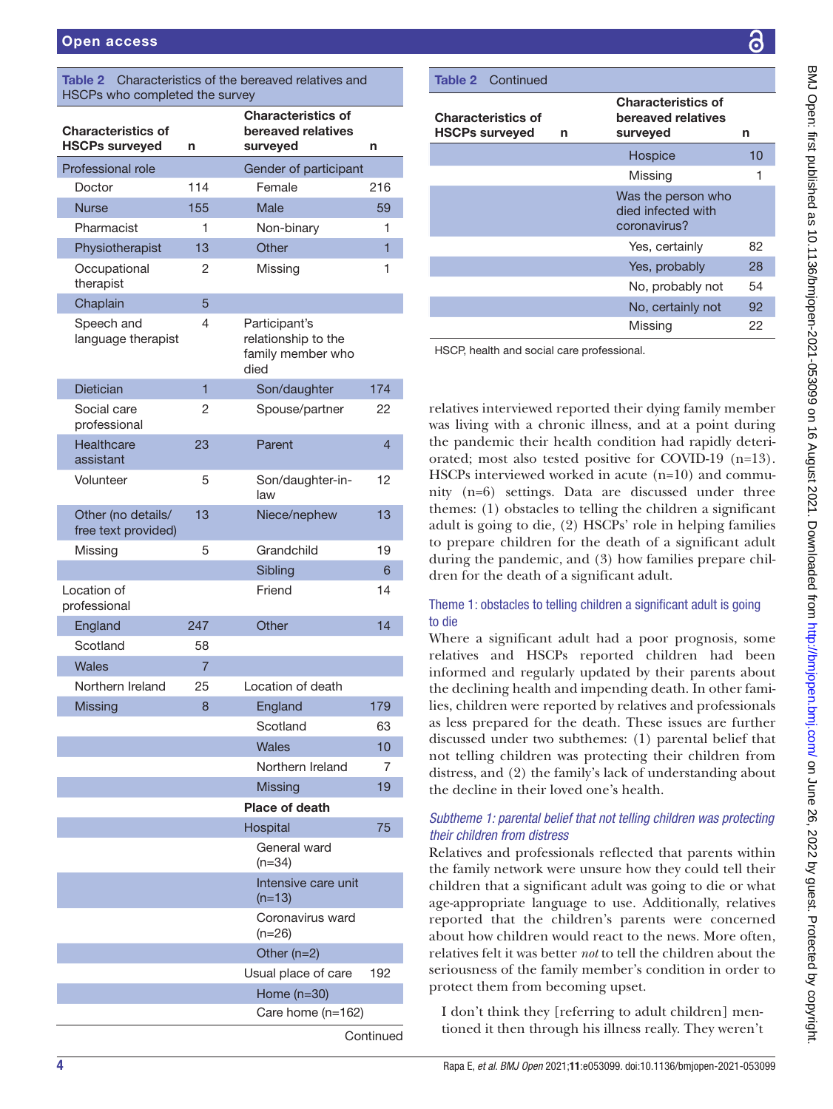<span id="page-3-0"></span>

| Characteristics of the bereaved relatives and<br><b>Table 2</b><br>HSCPs who completed the survey |                |                                                                   |                |  |  |
|---------------------------------------------------------------------------------------------------|----------------|-------------------------------------------------------------------|----------------|--|--|
| <b>Characteristics of</b><br><b>HSCPs surveyed</b>                                                | n              | <b>Characteristics of</b><br>bereaved relatives<br>surveyed       | n              |  |  |
| Professional role                                                                                 |                | Gender of participant                                             |                |  |  |
| Doctor                                                                                            | 114            | Female                                                            | 216            |  |  |
| <b>Nurse</b>                                                                                      | 155            | Male                                                              | 59             |  |  |
| Pharmacist                                                                                        | 1              | Non-binary                                                        | 1              |  |  |
| Physiotherapist                                                                                   | 13             | Other                                                             | $\overline{1}$ |  |  |
| Occupational<br>therapist                                                                         | 2              | Missing                                                           | 1              |  |  |
| Chaplain                                                                                          | 5              |                                                                   |                |  |  |
| Speech and<br>language therapist                                                                  | 4              | Participant's<br>relationship to the<br>family member who<br>died |                |  |  |
| <b>Dietician</b>                                                                                  | 1              | Son/daughter                                                      | 174            |  |  |
| Social care<br>professional                                                                       | 2              | Spouse/partner                                                    | 22             |  |  |
| Healthcare<br>assistant                                                                           | 23             | Parent                                                            | 4              |  |  |
| Volunteer                                                                                         | 5              | Son/daughter-in-<br>law                                           | 12             |  |  |
| Other (no details/<br>free text provided)                                                         | 13             | Niece/nephew                                                      | 13             |  |  |
| Missing                                                                                           | 5              | Grandchild                                                        | 19             |  |  |
|                                                                                                   |                | Sibling                                                           | 6              |  |  |
| Location of<br>professional                                                                       |                | Friend                                                            | 14             |  |  |
| England                                                                                           | 247            | Other                                                             | 14             |  |  |
| Scotland                                                                                          | 58             |                                                                   |                |  |  |
| Wales                                                                                             | $\overline{7}$ |                                                                   |                |  |  |
| Northern Ireland                                                                                  | 25             | Location of death                                                 |                |  |  |
| <b>Missing</b>                                                                                    | 8              | England                                                           | 179            |  |  |
|                                                                                                   |                | Scotland                                                          | 63             |  |  |
|                                                                                                   |                | <b>Wales</b>                                                      | 10             |  |  |
|                                                                                                   |                | Northern Ireland                                                  | 7              |  |  |
|                                                                                                   |                | <b>Missing</b>                                                    | 19             |  |  |
|                                                                                                   |                | <b>Place of death</b>                                             |                |  |  |
|                                                                                                   |                | Hospital<br>General ward                                          | 75             |  |  |
|                                                                                                   |                | $(n=34)$<br>Intensive care unit<br>$(n=13)$                       |                |  |  |
|                                                                                                   |                | Coronavirus ward<br>$(n=26)$                                      |                |  |  |
|                                                                                                   |                | Other $(n=2)$                                                     |                |  |  |
|                                                                                                   |                | Usual place of care                                               | 192            |  |  |
|                                                                                                   |                | Home $(n=30)$                                                     |                |  |  |
|                                                                                                   |                | Care home (n=162)                                                 |                |  |  |
|                                                                                                   |                |                                                                   | Continued      |  |  |

# Characteristics of HSCPs surveyed n Characteristics of bereaved relatives surveyed n Hospice 10 Missing 1 Was the person who died infected with coronavirus? Yes, certainly 82 Yes, probably 28 No, probably not 54 No, certainly not 92 Missing 22 Table 2 Continued

HSCP, health and social care professional.

relatives interviewed reported their dying family member was living with a chronic illness, and at a point during the pandemic their health condition had rapidly deteriorated; most also tested positive for COVID-19 (n=13). HSCPs interviewed worked in acute (n=10) and community (n=6) settings. Data are discussed under three themes: (1) obstacles to telling the children a significant adult is going to die, (2) HSCPs' role in helping families to prepare children for the death of a significant adult during the pandemic, and (3) how families prepare children for the death of a significant adult.

# Theme 1: obstacles to telling children a significant adult is going to die

Where a significant adult had a poor prognosis, some relatives and HSCPs reported children had been informed and regularly updated by their parents about the declining health and impending death. In other families, children were reported by relatives and professionals as less prepared for the death. These issues are further discussed under two subthemes: (1) parental belief that not telling children was protecting their children from distress, and (2) the family's lack of understanding about the decline in their loved one's health.

# *Subtheme 1: parental belief that not telling children was protecting their children from distress*

Relatives and professionals reflected that parents within the family network were unsure how they could tell their children that a significant adult was going to die or what age-appropriate language to use. Additionally, relatives reported that the children's parents were concerned about how children would react to the news. More often, relatives felt it was better *not* to tell the children about the seriousness of the family member's condition in order to protect them from becoming upset.

I don't think they [referring to adult children] mentioned it then through his illness really. They weren't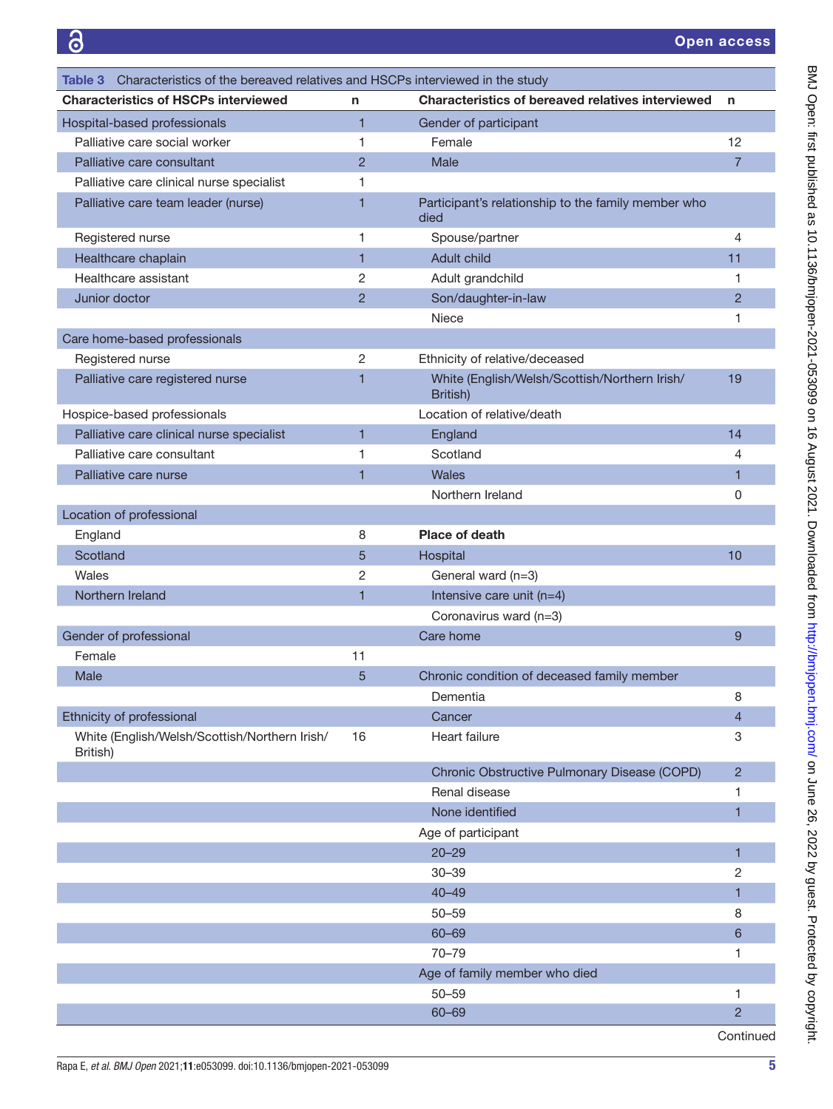<span id="page-4-0"></span>

| Characteristics of the bereaved relatives and HSCPs interviewed in the study<br>Table 3 I |                |                                                             |                |
|-------------------------------------------------------------------------------------------|----------------|-------------------------------------------------------------|----------------|
| <b>Characteristics of HSCPs interviewed</b>                                               | n              | <b>Characteristics of bereaved relatives interviewed</b>    | n              |
| Hospital-based professionals                                                              | $\overline{1}$ | Gender of participant                                       |                |
| Palliative care social worker                                                             | 1              | Female                                                      | 12             |
| Palliative care consultant                                                                | $\overline{2}$ | Male                                                        | $\overline{7}$ |
| Palliative care clinical nurse specialist                                                 | 1              |                                                             |                |
| Palliative care team leader (nurse)                                                       | 1              | Participant's relationship to the family member who<br>died |                |
| Registered nurse                                                                          | 1              | Spouse/partner                                              | 4              |
| Healthcare chaplain                                                                       | 1              | Adult child                                                 | 11             |
| Healthcare assistant                                                                      | 2              | Adult grandchild                                            | 1              |
| Junior doctor                                                                             | $\overline{2}$ | Son/daughter-in-law                                         | $\overline{2}$ |
|                                                                                           |                | <b>Niece</b>                                                | 1              |
| Care home-based professionals                                                             |                |                                                             |                |
| Registered nurse                                                                          | 2              | Ethnicity of relative/deceased                              |                |
| Palliative care registered nurse                                                          | 1              | White (English/Welsh/Scottish/Northern Irish/<br>British)   | 19             |
| Hospice-based professionals                                                               |                | Location of relative/death                                  |                |
| Palliative care clinical nurse specialist                                                 | 1              | England                                                     | 14             |
| Palliative care consultant                                                                | 1              | Scotland                                                    | 4              |
| Palliative care nurse                                                                     | 1              | Wales                                                       | 1              |
|                                                                                           |                | Northern Ireland                                            | 0              |
| Location of professional                                                                  |                |                                                             |                |
| England                                                                                   | 8              | Place of death                                              |                |
| Scotland                                                                                  | 5              | Hospital                                                    | 10             |
| Wales                                                                                     | $\overline{2}$ | General ward (n=3)                                          |                |
| Northern Ireland                                                                          | 1              | Intensive care unit $(n=4)$                                 |                |
|                                                                                           |                | Coronavirus ward (n=3)                                      |                |
| Gender of professional                                                                    |                | Care home                                                   | 9              |
| Female                                                                                    | 11             |                                                             |                |
| Male                                                                                      | 5              | Chronic condition of deceased family member                 |                |
|                                                                                           |                | Dementia                                                    | 8              |
| Ethnicity of professional                                                                 |                | Cancer                                                      | $\overline{4}$ |
| White (English/Welsh/Scottish/Northern Irish/<br>British)                                 | 16             | Heart failure                                               | 3              |
|                                                                                           |                | Chronic Obstructive Pulmonary Disease (COPD)                | $\overline{2}$ |
|                                                                                           |                | Renal disease                                               | 1              |
|                                                                                           |                | None identified                                             | 1              |
|                                                                                           |                | Age of participant                                          |                |
|                                                                                           |                | $20 - 29$                                                   | 1              |
|                                                                                           |                | $30 - 39$                                                   | 2              |
|                                                                                           |                | $40 - 49$                                                   | 1              |
|                                                                                           |                | $50 - 59$                                                   | 8              |
|                                                                                           |                | 60-69                                                       | 6              |
|                                                                                           |                | $70 - 79$                                                   | 1              |
|                                                                                           |                | Age of family member who died                               |                |
|                                                                                           |                | $50 - 59$                                                   | 1              |
|                                                                                           |                | $60 - 69$                                                   | $\overline{2}$ |
|                                                                                           |                |                                                             | Continued      |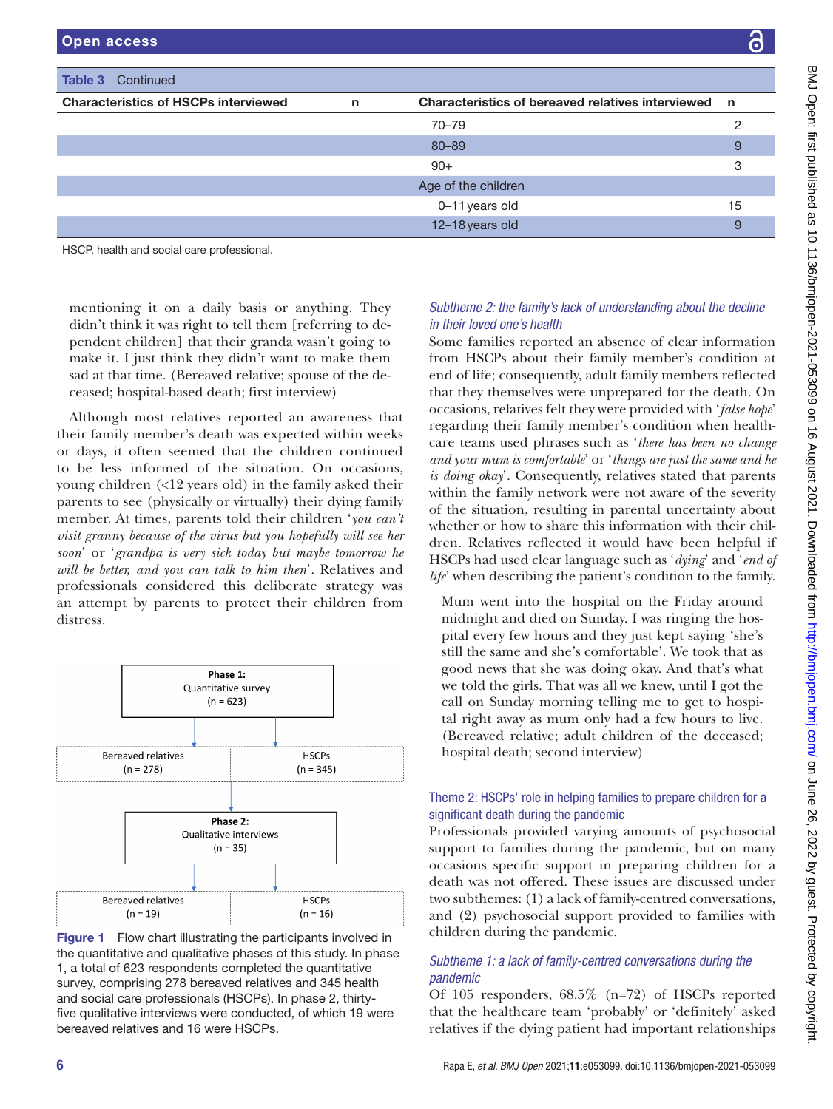| Open access                                   |              |                                                     | $\bullet$ |  |
|-----------------------------------------------|--------------|-----------------------------------------------------|-----------|--|
|                                               |              |                                                     |           |  |
| <b>Table 3</b> Continued                      |              |                                                     |           |  |
| <b>Characteristics of HSCPs interviewed</b>   | $\mathsf{n}$ | Characteristics of bereaved relatives interviewed n |           |  |
|                                               |              | $70 - 79$                                           | っ         |  |
|                                               |              | $80 - 89$                                           | 9         |  |
|                                               |              | $90+$                                               | 3         |  |
|                                               |              | Age of the children                                 |           |  |
|                                               |              | 0-11 years old                                      | 15        |  |
|                                               |              | 12-18 years old                                     | 9         |  |
| $1100D$ keelthe and again again mustanateural |              |                                                     |           |  |

HSCP, health and social care professional.

mentioning it on a daily basis or anything. They didn't think it was right to tell them [referring to dependent children] that their granda wasn't going to make it. I just think they didn't want to make them sad at that time. (Bereaved relative; spouse of the deceased; hospital-based death; first interview)

Although most relatives reported an awareness that their family member's death was expected within weeks or days, it often seemed that the children continued to be less informed of the situation. On occasions, young children (<12 years old) in the family asked their parents to see (physically or virtually) their dying family member. At times, parents told their children '*you can't visit granny because of the virus but you hopefully will see her soon*' or '*grandpa is very sick today but maybe tomorrow he will be better, and you can talk to him then*'. Relatives and professionals considered this deliberate strategy was an attempt by parents to protect their children from distress.



<span id="page-5-0"></span>Figure 1 Flow chart illustrating the participants involved in the quantitative and qualitative phases of this study. In phase 1, a total of 623 respondents completed the quantitative survey, comprising 278 bereaved relatives and 345 health and social care professionals (HSCPs). In phase 2, thirtyfive qualitative interviews were conducted, of which 19 were bereaved relatives and 16 were HSCPs.

# *Subtheme 2: the family's lack of understanding about the decline in their loved one's health*

Some families reported an absence of clear information from HSCPs about their family member's condition at end of life; consequently, adult family members reflected that they themselves were unprepared for the death. On occasions, relatives felt they were provided with '*false hope*' regarding their family member's condition when healthcare teams used phrases such as '*there has been no change and your mum is comfortable*' or '*things are just the same and he is doing okay*'. Consequently, relatives stated that parents within the family network were not aware of the severity of the situation, resulting in parental uncertainty about whether or how to share this information with their children. Relatives reflected it would have been helpful if HSCPs had used clear language such as '*dying*' and '*end of life*' when describing the patient's condition to the family.

Mum went into the hospital on the Friday around midnight and died on Sunday. I was ringing the hospital every few hours and they just kept saying 'she's still the same and she's comfortable'. We took that as good news that she was doing okay. And that's what we told the girls. That was all we knew, until I got the call on Sunday morning telling me to get to hospital right away as mum only had a few hours to live. (Bereaved relative; adult children of the deceased; hospital death; second interview)

# Theme 2: HSCPs' role in helping families to prepare children for a significant death during the pandemic

Professionals provided varying amounts of psychosocial support to families during the pandemic, but on many occasions specific support in preparing children for a death was not offered. These issues are discussed under two subthemes: (1) a lack of family-centred conversations, and (2) psychosocial support provided to families with children during the pandemic.

# *Subtheme 1: a lack of family-centred conversations during the pandemic*

Of 105 responders, 68.5% (n=72) of HSCPs reported that the healthcare team 'probably' or 'definitely' asked relatives if the dying patient had important relationships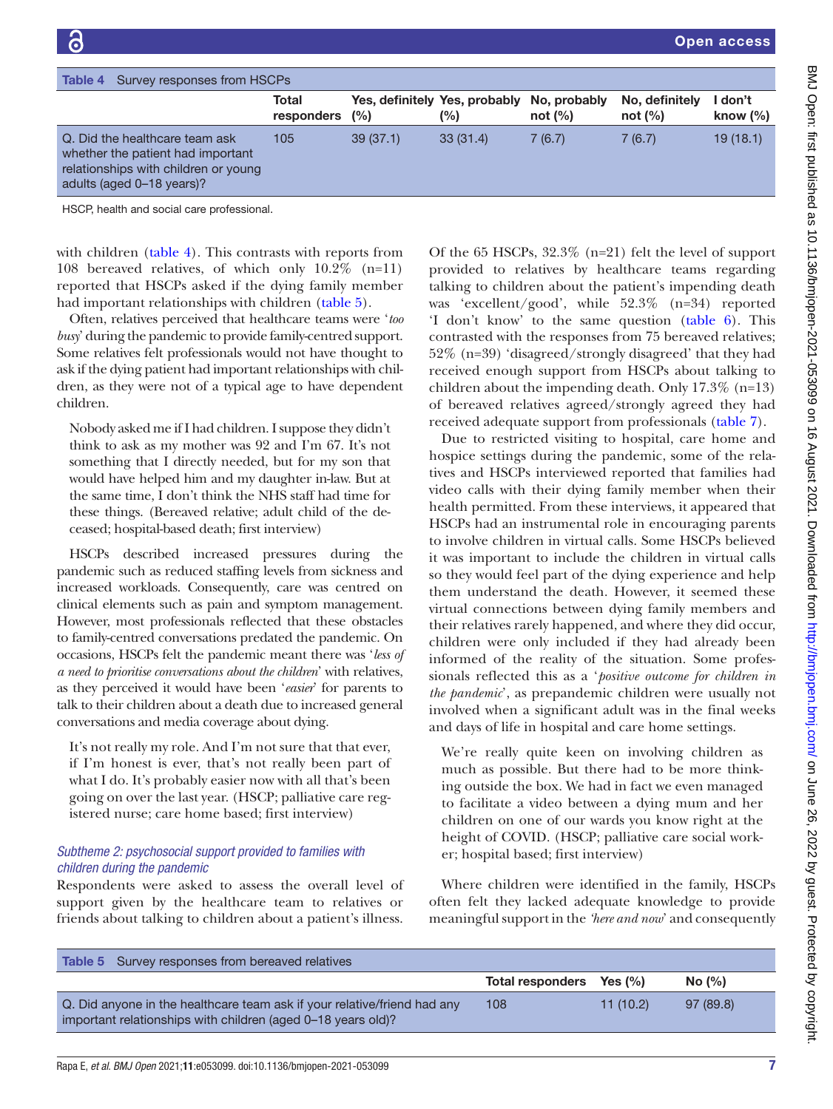<span id="page-6-0"></span>

| Survey responses from HSCPs<br>Table 4                                                                                                   |                     |          |                                      |                            |                              |                       |
|------------------------------------------------------------------------------------------------------------------------------------------|---------------------|----------|--------------------------------------|----------------------------|------------------------------|-----------------------|
|                                                                                                                                          | Total<br>responders | (%)      | Yes, definitely Yes, probably<br>(%) | No, probably<br>not $(\%)$ | No, definitely<br>not $(\%)$ | don't<br>know $(\% )$ |
| Q. Did the healthcare team ask<br>whether the patient had important<br>relationships with children or young<br>adults (aged 0-18 years)? | 105                 | 39(37.1) | 33(31.4)                             | 7(6.7)                     | 7(6.7)                       | 19(18.1)              |
| HOCD bootth and agoint gare professional                                                                                                 |                     |          |                                      |                            |                              |                       |

HSCP, health and social care professional.

with children ([table](#page-6-0) 4). This contrasts with reports from 108 bereaved relatives, of which only 10.2% (n=11) reported that HSCPs asked if the dying family member had important relationships with children ([table](#page-6-1) 5).

Often, relatives perceived that healthcare teams were '*too busy*' during the pandemic to provide family-centred support. Some relatives felt professionals would not have thought to ask if the dying patient had important relationships with children, as they were not of a typical age to have dependent children.

Nobody asked me if I had children. I suppose they didn't think to ask as my mother was 92 and I'm 67. It's not something that I directly needed, but for my son that would have helped him and my daughter in-law. But at the same time, I don't think the NHS staff had time for these things. (Bereaved relative; adult child of the deceased; hospital-based death; first interview)

HSCPs described increased pressures during the pandemic such as reduced staffing levels from sickness and increased workloads. Consequently, care was centred on clinical elements such as pain and symptom management. However, most professionals reflected that these obstacles to family-centred conversations predated the pandemic. On occasions, HSCPs felt the pandemic meant there was '*less of a need to prioritise conversations about the children*' with relatives, as they perceived it would have been '*easier*' for parents to talk to their children about a death due to increased general conversations and media coverage about dying.

It's not really my role. And I'm not sure that that ever, if I'm honest is ever, that's not really been part of what I do. It's probably easier now with all that's been going on over the last year. (HSCP; palliative care registered nurse; care home based; first interview)

# *Subtheme 2: psychosocial support provided to families with children during the pandemic*

Respondents were asked to assess the overall level of support given by the healthcare team to relatives or friends about talking to children about a patient's illness.

Of the 65 HSCPs, 32.3% (n=21) felt the level of support provided to relatives by healthcare teams regarding talking to children about the patient's impending death was 'excellent/good', while 52.3% (n=34) reported 'I don't know' to the same question ([table](#page-7-0) 6). This contrasted with the responses from 75 bereaved relatives; 52% (n=39) 'disagreed/strongly disagreed' that they had received enough support from HSCPs about talking to children about the impending death. Only 17.3% (n=13) of bereaved relatives agreed/strongly agreed they had received adequate support from professionals [\(table](#page-7-1) 7).

Due to restricted visiting to hospital, care home and hospice settings during the pandemic, some of the relatives and HSCPs interviewed reported that families had video calls with their dying family member when their health permitted. From these interviews, it appeared that HSCPs had an instrumental role in encouraging parents to involve children in virtual calls. Some HSCPs believed it was important to include the children in virtual calls so they would feel part of the dying experience and help them understand the death. However, it seemed these virtual connections between dying family members and their relatives rarely happened, and where they did occur, children were only included if they had already been informed of the reality of the situation. Some professionals reflected this as a '*positive outcome for children in the pandemic*', as prepandemic children were usually not involved when a significant adult was in the final weeks and days of life in hospital and care home settings.

We're really quite keen on involving children as much as possible. But there had to be more thinking outside the box. We had in fact we even managed to facilitate a video between a dying mum and her children on one of our wards you know right at the height of COVID. (HSCP; palliative care social worker; hospital based; first interview)

Where children were identified in the family, HSCPs often felt they lacked adequate knowledge to provide meaningful support in the *'here and now*' and consequently

<span id="page-6-1"></span>

| <b>Table 5</b> Survey responses from bereaved relatives                                                                                  |                          |          |          |
|------------------------------------------------------------------------------------------------------------------------------------------|--------------------------|----------|----------|
|                                                                                                                                          | Total responders Yes (%) |          | No (%)   |
| Q. Did anyone in the healthcare team ask if your relative/friend had any<br>important relationships with children (aged 0-18 years old)? | 108                      | 11(10.2) | 97(89.8) |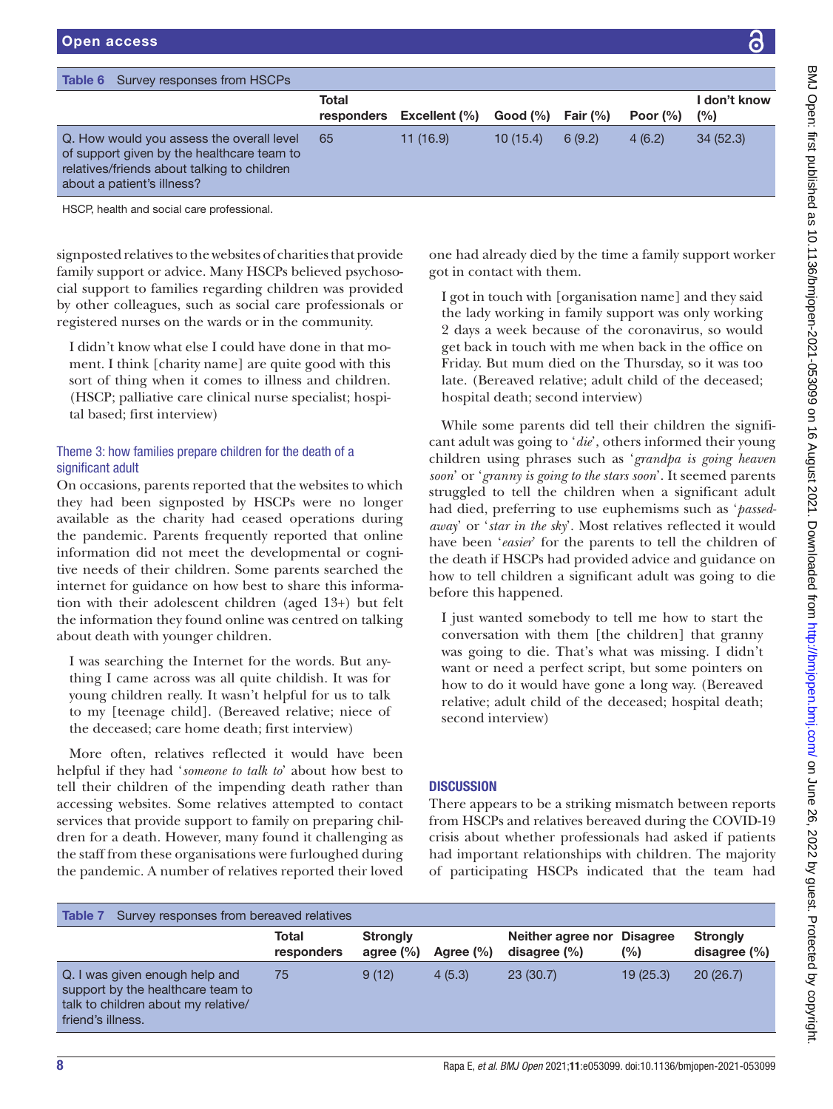<span id="page-7-0"></span>

| Survey responses from HSCPs<br>Table 6                                                                                                                               |                     |               |          |             |              |                        |
|----------------------------------------------------------------------------------------------------------------------------------------------------------------------|---------------------|---------------|----------|-------------|--------------|------------------------|
|                                                                                                                                                                      | Total<br>responders | Excellent (%) | Good (%) | Fair $(\%)$ | Poor $(\% )$ | I don't know<br>$(\%)$ |
| Q. How would you assess the overall level<br>of support given by the healthcare team to<br>relatives/friends about talking to children<br>about a patient's illness? | 65                  | 11(16.9)      | 10(15.4) | 6(9.2)      | 4(6.2)       | 34(52.3)               |

signposted relatives to the websites of charities that provide family support or advice. Many HSCPs believed psychosocial support to families regarding children was provided by other colleagues, such as social care professionals or registered nurses on the wards or in the community.

I didn't know what else I could have done in that moment. I think [charity name] are quite good with this sort of thing when it comes to illness and children. (HSCP; palliative care clinical nurse specialist; hospital based; first interview)

# Theme 3: how families prepare children for the death of a significant adult

On occasions, parents reported that the websites to which they had been signposted by HSCPs were no longer available as the charity had ceased operations during the pandemic. Parents frequently reported that online information did not meet the developmental or cognitive needs of their children. Some parents searched the internet for guidance on how best to share this information with their adolescent children (aged 13+) but felt the information they found online was centred on talking about death with younger children.

I was searching the Internet for the words. But anything I came across was all quite childish. It was for young children really. It wasn't helpful for us to talk to my [teenage child]. (Bereaved relative; niece of the deceased; care home death; first interview)

More often, relatives reflected it would have been helpful if they had '*someone to talk to*' about how best to tell their children of the impending death rather than accessing websites. Some relatives attempted to contact services that provide support to family on preparing children for a death. However, many found it challenging as the staff from these organisations were furloughed during the pandemic. A number of relatives reported their loved

one had already died by the time a family support worker got in contact with them.

I got in touch with [organisation name] and they said the lady working in family support was only working 2 days a week because of the coronavirus, so would get back in touch with me when back in the office on Friday. But mum died on the Thursday, so it was too late. (Bereaved relative; adult child of the deceased; hospital death; second interview)

While some parents did tell their children the significant adult was going to '*die*', others informed their young children using phrases such as '*grandpa is going heaven soon*' or '*granny is going to the stars soon*'. It seemed parents struggled to tell the children when a significant adult had died, preferring to use euphemisms such as '*passedaway*' or '*star in the sky*'. Most relatives reflected it would have been '*easier*' for the parents to tell the children of the death if HSCPs had provided advice and guidance on how to tell children a significant adult was going to die before this happened.

I just wanted somebody to tell me how to start the conversation with them [the children] that granny was going to die. That's what was missing. I didn't want or need a perfect script, but some pointers on how to do it would have gone a long way. (Bereaved relative; adult child of the deceased; hospital death; second interview)

# **DISCUSSION**

There appears to be a striking mismatch between reports from HSCPs and relatives bereaved during the COVID-19 crisis about whether professionals had asked if patients had important relationships with children. The majority of participating HSCPs indicated that the team had

<span id="page-7-1"></span>

| <b>Strongly</b><br>Neither agree nor Disagree<br><b>Strongly</b><br>Total<br>(%)<br>disagree $(\%)$<br>agree $(\% )$<br>Agree $(\% )$<br>responders<br>20(26.7)<br>9(12)<br>23(30.7)<br>19(25.3)<br>4(5.3)<br>Q. I was given enough help and<br>75<br>support by the healthcare team to<br>talk to children about my relative/<br>friend's illness. | Survey responses from bereaved relatives<br>Table 7 |  |  |                  |
|-----------------------------------------------------------------------------------------------------------------------------------------------------------------------------------------------------------------------------------------------------------------------------------------------------------------------------------------------------|-----------------------------------------------------|--|--|------------------|
|                                                                                                                                                                                                                                                                                                                                                     |                                                     |  |  | disagree $(\% )$ |
|                                                                                                                                                                                                                                                                                                                                                     |                                                     |  |  |                  |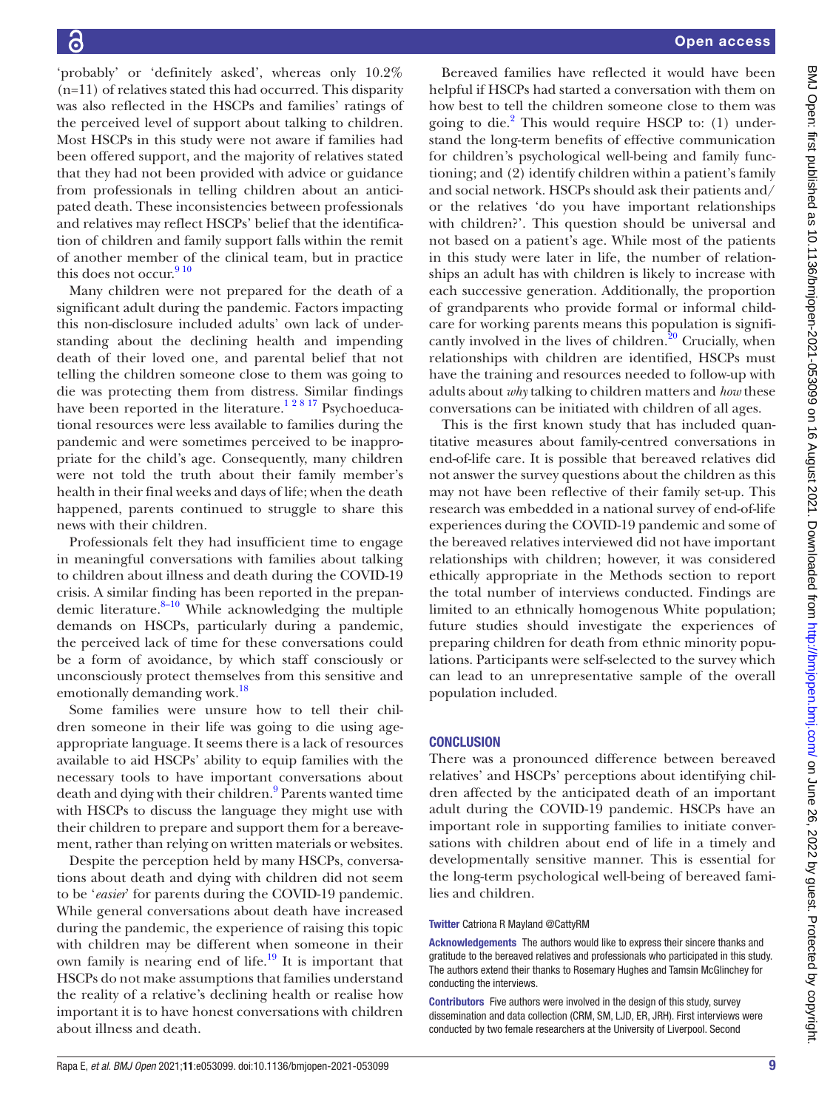'probably' or 'definitely asked', whereas only 10.2% (n=11) of relatives stated this had occurred. This disparity was also reflected in the HSCPs and families' ratings of the perceived level of support about talking to children. Most HSCPs in this study were not aware if families had been offered support, and the majority of relatives stated that they had not been provided with advice or guidance from professionals in telling children about an anticipated death. These inconsistencies between professionals and relatives may reflect HSCPs' belief that the identification of children and family support falls within the remit of another member of the clinical team, but in practice this does not occur.  $9^{10}$ 

Many children were not prepared for the death of a significant adult during the pandemic. Factors impacting this non-disclosure included adults' own lack of understanding about the declining health and impending death of their loved one, and parental belief that not telling the children someone close to them was going to die was protecting them from distress. Similar findings have been reported in the literature.<sup>12817</sup> Psychoeducational resources were less available to families during the pandemic and were sometimes perceived to be inappropriate for the child's age. Consequently, many children were not told the truth about their family member's health in their final weeks and days of life; when the death happened, parents continued to struggle to share this news with their children.

Professionals felt they had insufficient time to engage in meaningful conversations with families about talking to children about illness and death during the COVID-19 crisis. A similar finding has been reported in the prepandemic literature. $8-10$  While acknowledging the multiple demands on HSCPs, particularly during a pandemic, the perceived lack of time for these conversations could be a form of avoidance, by which staff consciously or unconsciously protect themselves from this sensitive and emotionally demanding work.<sup>[18](#page-9-9)</sup>

Some families were unsure how to tell their children someone in their life was going to die using ageappropriate language. It seems there is a lack of resources available to aid HSCPs' ability to equip families with the necessary tools to have important conversations about death and dying with their children.<sup>9</sup> Parents wanted time with HSCPs to discuss the language they might use with their children to prepare and support them for a bereavement, rather than relying on written materials or websites.

Despite the perception held by many HSCPs, conversations about death and dying with children did not seem to be '*easier*' for parents during the COVID-19 pandemic. While general conversations about death have increased during the pandemic, the experience of raising this topic with children may be different when someone in their own family is nearing end of life. $^{19}$  It is important that HSCPs do not make assumptions that families understand the reality of a relative's declining health or realise how important it is to have honest conversations with children about illness and death.

Bereaved families have reflected it would have been helpful if HSCPs had started a conversation with them on how best to tell the children someone close to them was going to die.<sup>[2](#page-9-1)</sup> This would require HSCP to: (1) understand the long-term benefits of effective communication for children's psychological well-being and family functioning; and (2) identify children within a patient's family and social network. HSCPs should ask their patients and/ or the relatives 'do you have important relationships with children?'. This question should be universal and not based on a patient's age. While most of the patients in this study were later in life, the number of relationships an adult has with children is likely to increase with each successive generation. Additionally, the proportion of grandparents who provide formal or informal childcare for working parents means this population is significantly involved in the lives of children. $20$  Crucially, when relationships with children are identified, HSCPs must have the training and resources needed to follow-up with adults about *why* talking to children matters and *how* these conversations can be initiated with children of all ages.

This is the first known study that has included quantitative measures about family-centred conversations in end-of-life care. It is possible that bereaved relatives did not answer the survey questions about the children as this may not have been reflective of their family set-up. This research was embedded in a national survey of end-of-life experiences during the COVID-19 pandemic and some of the bereaved relatives interviewed did not have important relationships with children; however, it was considered ethically appropriate in the Methods section to report the total number of interviews conducted. Findings are limited to an ethnically homogenous White population; future studies should investigate the experiences of preparing children for death from ethnic minority populations. Participants were self-selected to the survey which can lead to an unrepresentative sample of the overall population included.

# **CONCLUSION**

There was a pronounced difference between bereaved relatives' and HSCPs' perceptions about identifying children affected by the anticipated death of an important adult during the COVID-19 pandemic. HSCPs have an important role in supporting families to initiate conversations with children about end of life in a timely and developmentally sensitive manner. This is essential for the long-term psychological well-being of bereaved families and children.

#### Twitter Catriona R Mayland [@CattyRM](https://twitter.com/CattyRM)

Acknowledgements The authors would like to express their sincere thanks and gratitude to the bereaved relatives and professionals who participated in this study. The authors extend their thanks to Rosemary Hughes and Tamsin McGlinchey for conducting the interviews.

Contributors Five authors were involved in the design of this study, survey dissemination and data collection (CRM, SM, LJD, ER, JRH). First interviews were conducted by two female researchers at the University of Liverpool. Second